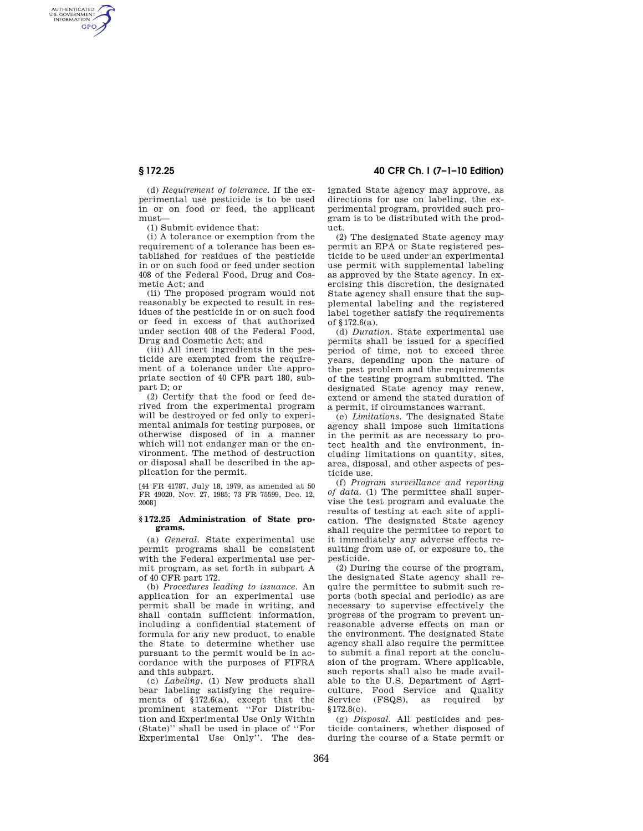AUTHENTICATED<br>U.S. GOVERNMENT<br>INFORMATION **GPO** 

> (d) *Requirement of tolerance.* If the experimental use pesticide is to be used in or on food or feed, the applicant must—

(1) Submit evidence that:

(i) A tolerance or exemption from the requirement of a tolerance has been established for residues of the pesticide in or on such food or feed under section 408 of the Federal Food, Drug and Cosmetic Act; and

(ii) The proposed program would not reasonably be expected to result in residues of the pesticide in or on such food or feed in excess of that authorized under section 408 of the Federal Food, Drug and Cosmetic Act; and

(iii) All inert ingredients in the pesticide are exempted from the requirement of a tolerance under the appropriate section of 40 CFR part 180, subpart D; or

(2) Certify that the food or feed derived from the experimental program will be destroyed or fed only to experimental animals for testing purposes, or otherwise disposed of in a manner which will not endanger man or the environment. The method of destruction or disposal shall be described in the application for the permit.

[44 FR 41787, July 18, 1979, as amended at 50 FR 49020, Nov. 27, 1985; 73 FR 75599, Dec. 12, 2008]

#### **§ 172.25 Administration of State programs.**

(a) *General.* State experimental use permit programs shall be consistent with the Federal experimental use permit program, as set forth in subpart A of 40 CFR part 172.

(b) *Procedures leading to issuance.* An application for an experimental use permit shall be made in writing, and shall contain sufficient information, including a confidential statement of formula for any new product, to enable the State to determine whether use pursuant to the permit would be in accordance with the purposes of FIFRA and this subpart.

(c) *Labeling.* (1) New products shall bear labeling satisfying the requirements of §172.6(a), except that the prominent statement ''For Distribution and Experimental Use Only Within (State)'' shall be used in place of ''For Experimental Use Only<sup>7</sup>. The des-

# **§ 172.25 40 CFR Ch. I (7–1–10 Edition)**

ignated State agency may approve, as directions for use on labeling, the experimental program, provided such program is to be distributed with the product.

(2) The designated State agency may permit an EPA or State registered pesticide to be used under an experimental use permit with supplemental labeling as approved by the State agency. In exercising this discretion, the designated State agency shall ensure that the supplemental labeling and the registered label together satisfy the requirements of §172.6(a).

(d) *Duration.* State experimental use permits shall be issued for a specified period of time, not to exceed three years, depending upon the nature of the pest problem and the requirements of the testing program submitted. The designated State agency may renew, extend or amend the stated duration of a permit, if circumstances warrant.

(e) *Limitations.* The designated State agency shall impose such limitations in the permit as are necessary to protect health and the environment, including limitations on quantity, sites, area, disposal, and other aspects of pesticide use.

(f) *Program surveillance and reporting of data.* (1) The permittee shall supervise the test program and evaluate the results of testing at each site of application. The designated State agency shall require the permittee to report to it immediately any adverse effects resulting from use of, or exposure to, the pesticide.

(2) During the course of the program, the designated State agency shall require the permittee to submit such reports (both special and periodic) as are necessary to supervise effectively the progress of the program to prevent unreasonable adverse effects on man or the environment. The designated State agency shall also require the permittee to submit a final report at the conclusion of the program. Where applicable, such reports shall also be made available to the U.S. Department of Agriculture, Food Service and Quality Service (FSQS), as required by §172.8(c).

(g) *Disposal.* All pesticides and pesticide containers, whether disposed of during the course of a State permit or